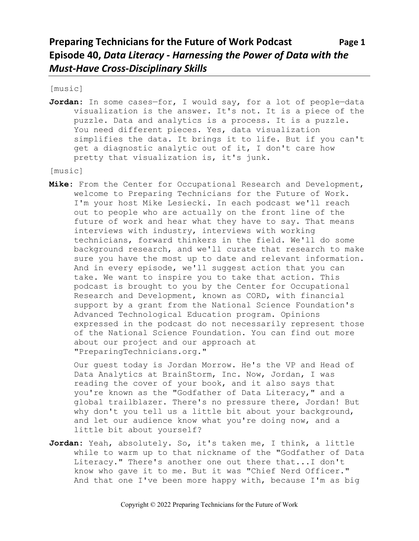[music]

**Jordan:** In some cases—for, I would say, for a lot of people—data visualization is the answer. It's not. It is a piece of the puzzle. Data and analytics is a process. It is a puzzle. You need different pieces. Yes, data visualization simplifies the data. It brings it to life. But if you can't get a diagnostic analytic out of it, I don't care how pretty that visualization is, it's junk.

[music]

**Mike:** From the Center for Occupational Research and Development, welcome to Preparing Technicians for the Future of Work. I'm your host Mike Lesiecki. In each podcast we'll reach out to people who are actually on the front line of the future of work and hear what they have to say. That means interviews with industry, interviews with working technicians, forward thinkers in the field. We'll do some background research, and we'll curate that research to make sure you have the most up to date and relevant information. And in every episode, we'll suggest action that you can take. We want to inspire you to take that action. This podcast is brought to you by the Center for Occupational Research and Development, known as CORD, with financial support by a grant from the National Science Foundation's Advanced Technological Education program. Opinions expressed in the podcast do not necessarily represent those of the National Science Foundation. You can find out more about our project and our approach at "PreparingTechnicians.org."

Our guest today is Jordan Morrow. He's the VP and Head of Data Analytics at BrainStorm, Inc. Now, Jordan, I was reading the cover of your book, and it also says that you're known as the "Godfather of Data Literacy," and a global trailblazer. There's no pressure there, Jordan! But why don't you tell us a little bit about your background, and let our audience know what you're doing now, and a little bit about yourself?

**Jordan:** Yeah, absolutely. So, it's taken me, I think, a little while to warm up to that nickname of the "Godfather of Data Literacy." There's another one out there that...I don't know who gave it to me. But it was "Chief Nerd Officer." And that one I've been more happy with, because I'm as big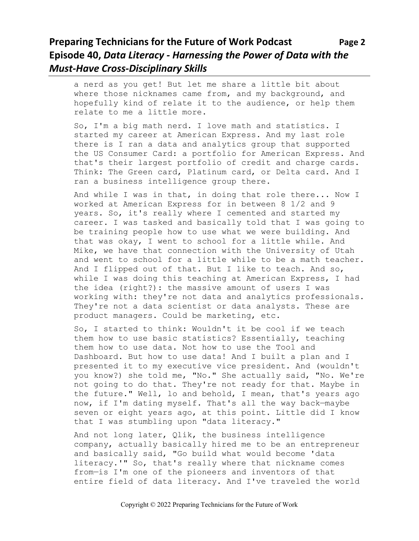### **Preparing Technicians for the Future of Work Podcast Page 2 Episode 40,** *Data Literacy - Harnessing the Power of Data with the Must-Have Cross-Disciplinary Skills*

a nerd as you get! But let me share a little bit about where those nicknames came from, and my background, and hopefully kind of relate it to the audience, or help them relate to me a little more.

So, I'm a big math nerd. I love math and statistics. I started my career at American Express. And my last role there is I ran a data and analytics group that supported the US Consumer Card: a portfolio for American Express. And that's their largest portfolio of credit and charge cards. Think: The Green card, Platinum card, or Delta card. And I ran a business intelligence group there.

And while I was in that, in doing that role there... Now I worked at American Express for in between 8 1/2 and 9 years. So, it's really where I cemented and started my career. I was tasked and basically told that I was going to be training people how to use what we were building. And that was okay, I went to school for a little while. And Mike, we have that connection with the University of Utah and went to school for a little while to be a math teacher. And I flipped out of that. But I like to teach. And so, while I was doing this teaching at American Express, I had the idea (right?): the massive amount of users I was working with: they're not data and analytics professionals. They're not a data scientist or data analysts. These are product managers. Could be marketing, etc.

So, I started to think: Wouldn't it be cool if we teach them how to use basic statistics? Essentially, teaching them how to use data. Not how to use the Tool and Dashboard. But how to use data! And I built a plan and I presented it to my executive vice president. And (wouldn't you know?) she told me, "No." She actually said, "No. We're not going to do that. They're not ready for that. Maybe in the future." Well, lo and behold, I mean, that's years ago now, if I'm dating myself. That's all the way back—maybe seven or eight years ago, at this point. Little did I know that I was stumbling upon "data literacy."

And not long later, Qlik, the business intelligence company, actually basically hired me to be an entrepreneur and basically said, "Go build what would become 'data literacy.'" So, that's really where that nickname comes from—is I'm one of the pioneers and inventors of that entire field of data literacy. And I've traveled the world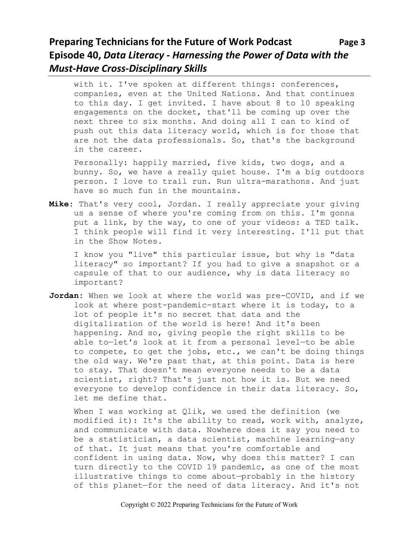# **Preparing Technicians for the Future of Work Podcast Page 3 Episode 40,** *Data Literacy - Harnessing the Power of Data with the Must-Have Cross-Disciplinary Skills*

with it. I've spoken at different things: conferences, companies, even at the United Nations. And that continues to this day. I get invited. I have about 8 to 10 speaking engagements on the docket, that'll be coming up over the next three to six months. And doing all I can to kind of push out this data literacy world, which is for those that are not the data professionals. So, that's the background in the career.

Personally: happily married, five kids, two dogs, and a bunny. So, we have a really quiet house. I'm a big outdoors person. I love to trail run. Run ultra-marathons. And just have so much fun in the mountains.

**Mike:** That's very cool, Jordan. I really appreciate your giving us a sense of where you're coming from on this. I'm gonna put a link, by the way, to one of your videos: a TED talk. I think people will find it very interesting. I'll put that in the Show Notes.

I know you "live" this particular issue, but why is "data literacy" so important? If you had to give a snapshot or a capsule of that to our audience, why is data literacy so important?

**Jordan:** When we look at where the world was pre-COVID, and if we look at where post-pandemic-start where it is today, to a lot of people it's no secret that data and the digitalization of the world is here! And it's been happening. And so, giving people the right skills to be able to—let's look at it from a personal level—to be able to compete, to get the jobs, etc., we can't be doing things the old way. We're past that, at this point. Data is here to stay. That doesn't mean everyone needs to be a data scientist, right? That's just not how it is. But we need everyone to develop confidence in their data literacy. So, let me define that.

When I was working at Qlik, we used the definition (we modified it): It's the ability to read, work with, analyze, and communicate with data. Nowhere does it say you need to be a statistician, a data scientist, machine learning—any of that. It just means that you're comfortable and confident in using data. Now, why does this matter? I can turn directly to the COVID 19 pandemic, as one of the most illustrative things to come about—probably in the history of this planet—for the need of data literacy. And it's not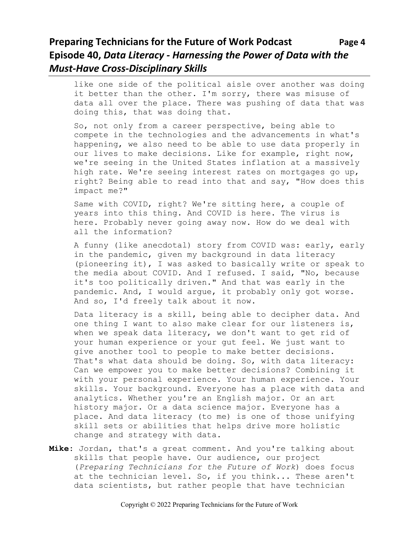## **Preparing Technicians for the Future of Work Podcast Page 4 Episode 40,** *Data Literacy - Harnessing the Power of Data with the Must-Have Cross-Disciplinary Skills*

like one side of the political aisle over another was doing it better than the other. I'm sorry, there was misuse of data all over the place. There was pushing of data that was doing this, that was doing that.

So, not only from a career perspective, being able to compete in the technologies and the advancements in what's happening, we also need to be able to use data properly in our lives to make decisions. Like for example, right now, we're seeing in the United States inflation at a massively high rate. We're seeing interest rates on mortgages go up, right? Being able to read into that and say, "How does this impact me?"

Same with COVID, right? We're sitting here, a couple of years into this thing. And COVID is here. The virus is here. Probably never going away now. How do we deal with all the information?

A funny (like anecdotal) story from COVID was: early, early in the pandemic, given my background in data literacy (pioneering it), I was asked to basically write or speak to the media about COVID. And I refused. I said, "No, because it's too politically driven." And that was early in the pandemic. And, I would argue, it probably only got worse. And so, I'd freely talk about it now.

Data literacy is a skill, being able to decipher data. And one thing I want to also make clear for our listeners is, when we speak data literacy, we don't want to get rid of your human experience or your gut feel. We just want to give another tool to people to make better decisions. That's what data should be doing. So, with data literacy: Can we empower you to make better decisions? Combining it with your personal experience. Your human experience. Your skills. Your background. Everyone has a place with data and analytics. Whether you're an English major. Or an art history major. Or a data science major. Everyone has a place. And data literacy (to me) is one of those unifying skill sets or abilities that helps drive more holistic change and strategy with data.

**Mike:** Jordan, that's a great comment. And you're talking about skills that people have. Our audience, our project (*Preparing Technicians for the Future of Work*) does focus at the technician level. So, if you think... These aren't data scientists, but rather people that have technician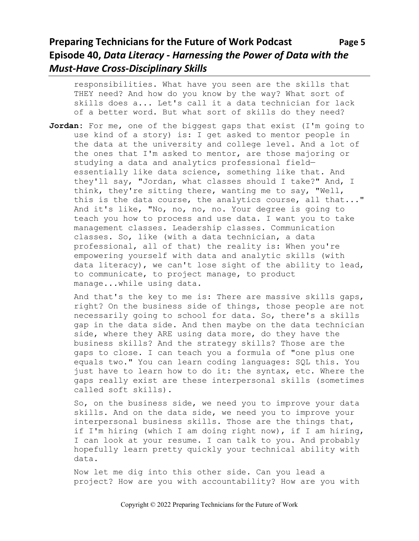# **Preparing Technicians for the Future of Work Podcast Page 5 Episode 40,** *Data Literacy - Harnessing the Power of Data with the Must-Have Cross-Disciplinary Skills*

responsibilities. What have you seen are the skills that THEY need? And how do you know by the way? What sort of skills does a... Let's call it a data technician for lack of a better word. But what sort of skills do they need?

**Jordan:** For me, one of the biggest gaps that exist (I'm going to use kind of a story) is: I get asked to mentor people in the data at the university and college level. And a lot of the ones that I'm asked to mentor, are those majoring or studying a data and analytics professional field essentially like data science, something like that. And they'll say, "Jordan, what classes should I take?" And, I think, they're sitting there, wanting me to say, "Well, this is the data course, the analytics course, all that..." And it's like, "No, no, no, no. Your degree is going to teach you how to process and use data. I want you to take management classes. Leadership classes. Communication classes. So, like (with a data technician, a data professional, all of that) the reality is: When you're empowering yourself with data and analytic skills (with data literacy), we can't lose sight of the ability to lead, to communicate, to project manage, to product manage...while using data.

And that's the key to me is: There are massive skills gaps, right? On the business side of things, those people are not necessarily going to school for data. So, there's a skills gap in the data side. And then maybe on the data technician side, where they ARE using data more, do they have the business skills? And the strategy skills? Those are the gaps to close. I can teach you a formula of "one plus one equals two." You can learn coding languages: SQL this. You just have to learn how to do it: the syntax, etc. Where the gaps really exist are these interpersonal skills (sometimes called soft skills).

So, on the business side, we need you to improve your data skills. And on the data side, we need you to improve your interpersonal business skills. Those are the things that, if I'm hiring (which I am doing right now), if I am hiring, I can look at your resume. I can talk to you. And probably hopefully learn pretty quickly your technical ability with data.

Now let me dig into this other side. Can you lead a project? How are you with accountability? How are you with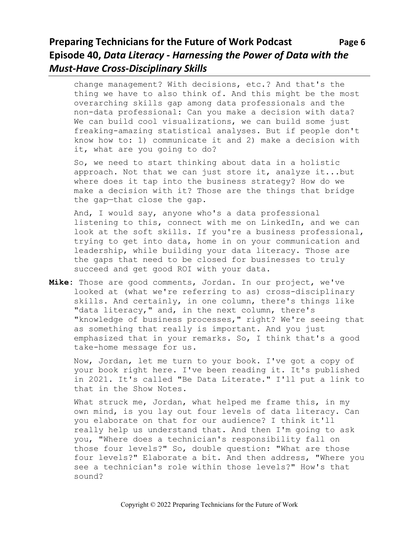# **Preparing Technicians for the Future of Work Podcast** Page 6 **Episode 40,** *Data Literacy - Harnessing the Power of Data with the Must-Have Cross-Disciplinary Skills*

change management? With decisions, etc.? And that's the thing we have to also think of. And this might be the most overarching skills gap among data professionals and the non-data professional: Can you make a decision with data? We can build cool visualizations, we can build some just freaking-amazing statistical analyses. But if people don't know how to: 1) communicate it and 2) make a decision with it, what are you going to do?

So, we need to start thinking about data in a holistic approach. Not that we can just store it, analyze it...but where does it tap into the business strategy? How do we make a decision with it? Those are the things that bridge the gap—that close the gap.

And, I would say, anyone who's a data professional listening to this, connect with me on LinkedIn, and we can look at the soft skills. If you're a business professional, trying to get into data, home in on your communication and leadership, while building your data literacy. Those are the gaps that need to be closed for businesses to truly succeed and get good ROI with your data.

**Mike:** Those are good comments, Jordan. In our project, we've looked at (what we're referring to as) cross-disciplinary skills. And certainly, in one column, there's things like "data literacy," and, in the next column, there's "knowledge of business processes," right? We're seeing that as something that really is important. And you just emphasized that in your remarks. So, I think that's a good take-home message for us.

Now, Jordan, let me turn to your book. I've got a copy of your book right here. I've been reading it. It's published in 2021. It's called "Be Data Literate." I'll put a link to that in the Show Notes.

What struck me, Jordan, what helped me frame this, in my own mind, is you lay out four levels of data literacy. Can you elaborate on that for our audience? I think it'll really help us understand that. And then I'm going to ask you, "Where does a technician's responsibility fall on those four levels?" So, double question: "What are those four levels?" Elaborate a bit. And then address, "Where you see a technician's role within those levels?" How's that sound?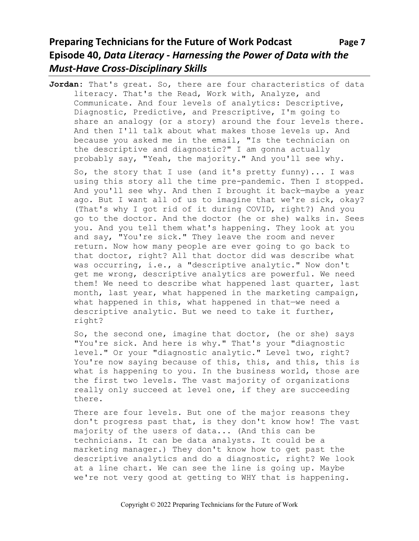# **Preparing Technicians for the Future of Work Podcast Page 7 Episode 40,** *Data Literacy - Harnessing the Power of Data with the Must-Have Cross-Disciplinary Skills*

**Jordan:** That's great. So, there are four characteristics of data literacy. That's the Read, Work with, Analyze, and Communicate. And four levels of analytics: Descriptive, Diagnostic, Predictive, and Prescriptive, I'm going to share an analogy (or a story) around the four levels there. And then I'll talk about what makes those levels up. And because you asked me in the email, "Is the technician on the descriptive and diagnostic?" I am gonna actually probably say, "Yeah, the majority." And you'll see why.

So, the story that I use (and it's pretty funny)... I was using this story all the time pre-pandemic. Then I stopped. And you'll see why. And then I brought it back—maybe a year ago. But I want all of us to imagine that we're sick, okay? (That's why I got rid of it during COVID, right?) And you go to the doctor. And the doctor (he or she) walks in. Sees you. And you tell them what's happening. They look at you and say, "You're sick." They leave the room and never return. Now how many people are ever going to go back to that doctor, right? All that doctor did was describe what was occurring, i.e., a "descriptive analytic." Now don't get me wrong, descriptive analytics are powerful. We need them! We need to describe what happened last quarter, last month, last year, what happened in the marketing campaign, what happened in this, what happened in that-we need a descriptive analytic. But we need to take it further, right?

So, the second one, imagine that doctor, (he or she) says "You're sick. And here is why." That's your "diagnostic level." Or your "diagnostic analytic." Level two, right? You're now saying because of this, this, and this, this is what is happening to you. In the business world, those are the first two levels. The vast majority of organizations really only succeed at level one, if they are succeeding there.

There are four levels. But one of the major reasons they don't progress past that, is they don't know how! The vast majority of the users of data... (And this can be technicians. It can be data analysts. It could be a marketing manager.) They don't know how to get past the descriptive analytics and do a diagnostic, right? We look at a line chart. We can see the line is going up. Maybe we're not very good at getting to WHY that is happening.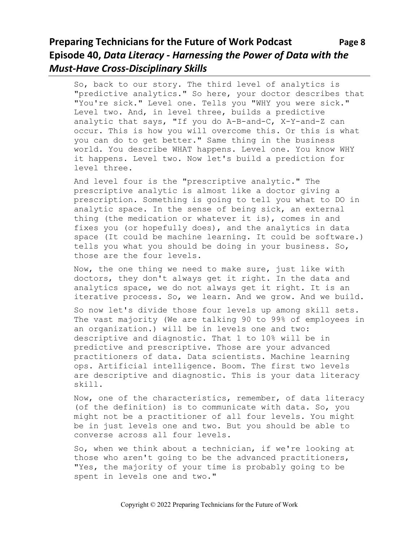# **Preparing Technicians for the Future of Work Podcast** Page 8 **Episode 40,** *Data Literacy - Harnessing the Power of Data with the Must-Have Cross-Disciplinary Skills*

So, back to our story. The third level of analytics is "predictive analytics." So here, your doctor describes that "You're sick." Level one. Tells you "WHY you were sick." Level two. And, in level three, builds a predictive analytic that says, "If you do A-B-and-C, X-Y-and-Z can occur. This is how you will overcome this. Or this is what you can do to get better." Same thing in the business world. You describe WHAT happens. Level one. You know WHY it happens. Level two. Now let's build a prediction for level three.

And level four is the "prescriptive analytic." The prescriptive analytic is almost like a doctor giving a prescription. Something is going to tell you what to DO in analytic space. In the sense of being sick, an external thing (the medication or whatever it is), comes in and fixes you (or hopefully does), and the analytics in data space (It could be machine learning. It could be software.) tells you what you should be doing in your business. So, those are the four levels.

Now, the one thing we need to make sure, just like with doctors, they don't always get it right. In the data and analytics space, we do not always get it right. It is an iterative process. So, we learn. And we grow. And we build.

So now let's divide those four levels up among skill sets. The vast majority (We are talking 90 to 99% of employees in an organization.) will be in levels one and two: descriptive and diagnostic. That 1 to 10% will be in predictive and prescriptive. Those are your advanced practitioners of data. Data scientists. Machine learning ops. Artificial intelligence. Boom. The first two levels are descriptive and diagnostic. This is your data literacy skill.

Now, one of the characteristics, remember, of data literacy (of the definition) is to communicate with data. So, you might not be a practitioner of all four levels. You might be in just levels one and two. But you should be able to converse across all four levels.

So, when we think about a technician, if we're looking at those who aren't going to be the advanced practitioners, "Yes, the majority of your time is probably going to be spent in levels one and two."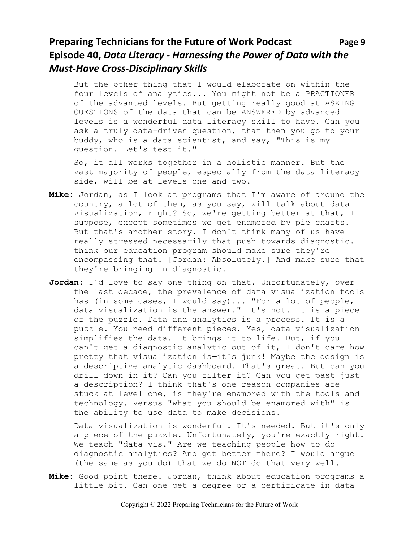# **Preparing Technicians for the Future of Work Podcast** Page 9 **Episode 40,** *Data Literacy - Harnessing the Power of Data with the Must-Have Cross-Disciplinary Skills*

But the other thing that I would elaborate on within the four levels of analytics... You might not be a PRACTIONER of the advanced levels. But getting really good at ASKING QUESTIONS of the data that can be ANSWERED by advanced levels is a wonderful data literacy skill to have. Can you ask a truly data-driven question, that then you go to your buddy, who is a data scientist, and say, "This is my question. Let's test it."

So, it all works together in a holistic manner. But the vast majority of people, especially from the data literacy side, will be at levels one and two.

- **Mike:** Jordan, as I look at programs that I'm aware of around the country, a lot of them, as you say, will talk about data visualization, right? So, we're getting better at that, I suppose, except sometimes we get enamored by pie charts. But that's another story. I don't think many of us have really stressed necessarily that push towards diagnostic. I think our education program should make sure they're encompassing that. [Jordan: Absolutely.] And make sure that they're bringing in diagnostic.
- **Jordan:** I'd love to say one thing on that. Unfortunately, over the last decade, the prevalence of data visualization tools has (in some cases, I would say)... "For a lot of people, data visualization is the answer." It's not. It is a piece of the puzzle. Data and analytics is a process. It is a puzzle. You need different pieces. Yes, data visualization simplifies the data. It brings it to life. But, if you can't get a diagnostic analytic out of it, I don't care how pretty that visualization is—it's junk! Maybe the design is a descriptive analytic dashboard. That's great. But can you drill down in it? Can you filter it? Can you get past just a description? I think that's one reason companies are stuck at level one, is they're enamored with the tools and technology. Versus "what you should be enamored with" is the ability to use data to make decisions.

Data visualization is wonderful. It's needed. But it's only a piece of the puzzle. Unfortunately, you're exactly right. We teach "data vis." Are we teaching people how to do diagnostic analytics? And get better there? I would argue (the same as you do) that we do NOT do that very well.

**Mike:** Good point there. Jordan, think about education programs a little bit. Can one get a degree or a certificate in data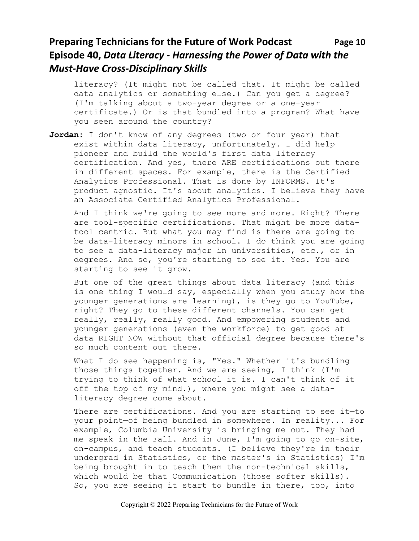# **Preparing Technicians for the Future of Work Podcast Page 10 Episode 40,** *Data Literacy - Harnessing the Power of Data with the Must-Have Cross-Disciplinary Skills*

literacy? (It might not be called that. It might be called data analytics or something else.) Can you get a degree? (I'm talking about a two-year degree or a one-year certificate.) Or is that bundled into a program? What have you seen around the country?

**Jordan:** I don't know of any degrees (two or four year) that exist within data literacy, unfortunately. I did help pioneer and build the world's first data literacy certification. And yes, there ARE certifications out there in different spaces. For example, there is the Certified Analytics Professional. That is done by INFORMS. It's product agnostic. It's about analytics. I believe they have an Associate Certified Analytics Professional.

And I think we're going to see more and more. Right? There are tool-specific certifications. That might be more datatool centric. But what you may find is there are going to be data-literacy minors in school. I do think you are going to see a data-literacy major in universities, etc., or in degrees. And so, you're starting to see it. Yes. You are starting to see it grow.

But one of the great things about data literacy (and this is one thing I would say, especially when you study how the younger generations are learning), is they go to YouTube, right? They go to these different channels. You can get really, really, really good. And empowering students and younger generations (even the workforce) to get good at data RIGHT NOW without that official degree because there's so much content out there.

What I do see happening is, "Yes." Whether it's bundling those things together. And we are seeing, I think (I'm trying to think of what school it is. I can't think of it off the top of my mind.), where you might see a dataliteracy degree come about.

There are certifications. And you are starting to see it—to your point—of being bundled in somewhere. In reality... For example, Columbia University is bringing me out. They had me speak in the Fall. And in June, I'm going to go on-site, on-campus, and teach students. (I believe they're in their undergrad in Statistics, or the master's in Statistics) I'm being brought in to teach them the non-technical skills, which would be that Communication (those softer skills). So, you are seeing it start to bundle in there, too, into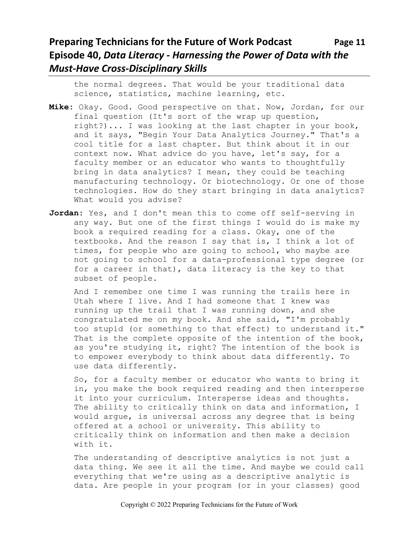# **Preparing Technicians for the Future of Work Podcast Page 11 Episode 40,** *Data Literacy - Harnessing the Power of Data with the Must-Have Cross-Disciplinary Skills*

the normal degrees. That would be your traditional data science, statistics, machine learning, etc.

- **Mike:** Okay. Good. Good perspective on that. Now, Jordan, for our final question (It's sort of the wrap up question, right?)... I was looking at the last chapter in your book, and it says, "Begin Your Data Analytics Journey." That's a cool title for a last chapter. But think about it in our context now. What advice do you have, let's say, for a faculty member or an educator who wants to thoughtfully bring in data analytics? I mean, they could be teaching manufacturing technology. Or biotechnology. Or one of those technologies. How do they start bringing in data analytics? What would you advise?
- **Jordan:** Yes, and I don't mean this to come off self-serving in any way. But one of the first things I would do is make my book a required reading for a class. Okay, one of the textbooks. And the reason I say that is, I think a lot of times, for people who are going to school, who maybe are not going to school for a data-professional type degree (or for a career in that), data literacy is the key to that subset of people.

And I remember one time I was running the trails here in Utah where I live. And I had someone that I knew was running up the trail that I was running down, and she congratulated me on my book. And she said, "I'm probably too stupid (or something to that effect) to understand it." That is the complete opposite of the intention of the book, as you're studying it, right? The intention of the book is to empower everybody to think about data differently. To use data differently.

So, for a faculty member or educator who wants to bring it in, you make the book required reading and then intersperse it into your curriculum. Intersperse ideas and thoughts. The ability to critically think on data and information, I would argue, is universal across any degree that is being offered at a school or university. This ability to critically think on information and then make a decision with it.

The understanding of descriptive analytics is not just a data thing. We see it all the time. And maybe we could call everything that we're using as a descriptive analytic is data. Are people in your program (or in your classes) good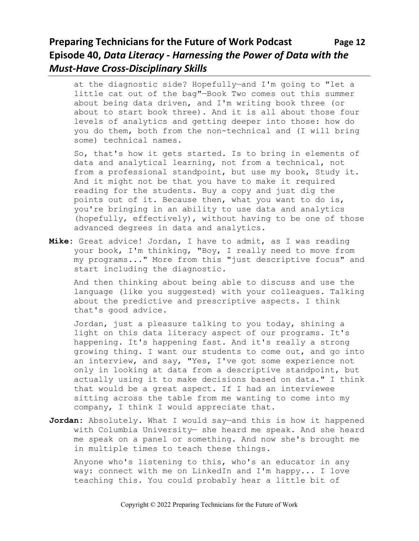# **Preparing Technicians for the Future of Work Podcast Page 12 Episode 40,** *Data Literacy - Harnessing the Power of Data with the Must-Have Cross-Disciplinary Skills*

at the diagnostic side? Hopefully—and I'm going to "let a little cat out of the bag"—Book Two comes out this summer about being data driven, and I'm writing book three (or about to start book three). And it is all about those four levels of analytics and getting deeper into those: how do you do them, both from the non-technical and (I will bring some) technical names.

So, that's how it gets started. Is to bring in elements of data and analytical learning, not from a technical, not from a professional standpoint, but use my book, Study it. And it might not be that you have to make it required reading for the students. Buy a copy and just dig the points out of it. Because then, what you want to do is, you're bringing in an ability to use data and analytics (hopefully, effectively), without having to be one of those advanced degrees in data and analytics.

**Mike:** Great advice! Jordan, I have to admit, as I was reading your book, I'm thinking, "Boy, I really need to move from my programs..." More from this "just descriptive focus" and start including the diagnostic.

And then thinking about being able to discuss and use the language (like you suggested) with your colleagues. Talking about the predictive and prescriptive aspects. I think that's good advice.

Jordan, just a pleasure talking to you today, shining a light on this data literacy aspect of our programs. It's happening. It's happening fast. And it's really a strong growing thing. I want our students to come out, and go into an interview, and say, "Yes, I've got some experience not only in looking at data from a descriptive standpoint, but actually using it to make decisions based on data." I think that would be a great aspect. If I had an interviewee sitting across the table from me wanting to come into my company, I think I would appreciate that.

**Jordan:** Absolutely. What I would say—and this is how it happened with Columbia University— she heard me speak. And she heard me speak on a panel or something. And now she's brought me in multiple times to teach these things.

Anyone who's listening to this, who's an educator in any way: connect with me on LinkedIn and I'm happy... I love teaching this. You could probably hear a little bit of